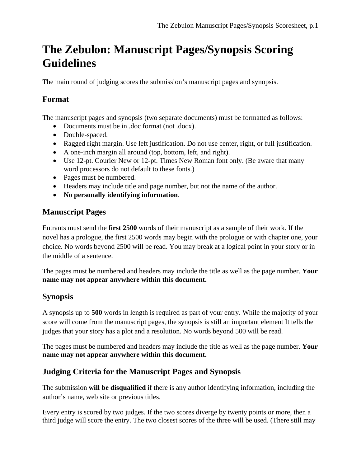# **The Zebulon: Manuscript Pages/Synopsis Scoring Guidelines**

The main round of judging scores the submission's manuscript pages and synopsis.

## **Format**

The manuscript pages and synopsis (two separate documents) must be formatted as follows:

- Documents must be in .doc format (not .docx).
- Double-spaced.
- Ragged right margin. Use left justification. Do not use center, right, or full justification.
- A one-inch margin all around (top, bottom, left, and right).
- Use 12-pt. Courier New or 12-pt. Times New Roman font only. (Be aware that many word processors do not default to these fonts.)
- Pages must be numbered.
- Headers may include title and page number, but not the name of the author.
- **No personally identifying information**.

#### **Manuscript Pages**

Entrants must send the **first 2500** words of their manuscript as a sample of their work. If the novel has a prologue, the first 2500 words may begin with the prologue or with chapter one, your choice. No words beyond 2500 will be read. You may break at a logical point in your story or in the middle of a sentence.

The pages must be numbered and headers may include the title as well as the page number. **Your name may not appear anywhere within this document.** 

#### **Synopsis**

A synopsis up to **500** words in length is required as part of your entry. While the majority of your score will come from the manuscript pages, the synopsis is still an important element It tells the judges that your story has a plot and a resolution. No words beyond 500 will be read.

The pages must be numbered and headers may include the title as well as the page number. **Your name may not appear anywhere within this document.** 

#### **Judging Criteria for the Manuscript Pages and Synopsis**

The submission **will be disqualified** if there is any author identifying information, including the author's name, web site or previous titles.

Every entry is scored by two judges. If the two scores diverge by twenty points or more, then a third judge will score the entry. The two closest scores of the three will be used. (There still may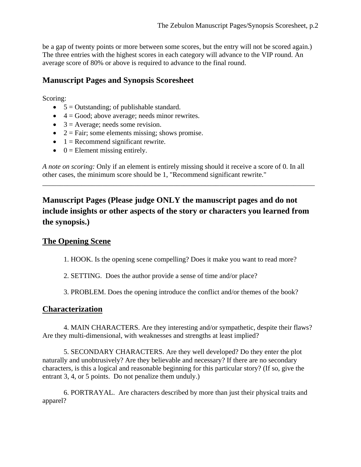be a gap of twenty points or more between some scores, but the entry will not be scored again.) The three entries with the highest scores in each category will advance to the VIP round. An average score of 80% or above is required to advance to the final round.

## **Manuscript Pages and Synopsis Scoresheet**

#### Scoring:

- $\bullet$  5 = Outstanding; of publishable standard.
- $\bullet$  4 = Good; above average; needs minor rewrites.
- $\bullet$  3 = Average; needs some revision.
- $2 = \text{Fair}$ ; some elements missing; shows promise.
- $\bullet$  1 = Recommend significant rewrite.
- $0 =$  Element missing entirely.

*A note on scoring:* Only if an element is entirely missing should it receive a score of 0. In all other cases, the minimum score should be 1, "Recommend significant rewrite."

\_\_\_\_\_\_\_\_\_\_\_\_\_\_\_\_\_\_\_\_\_\_\_\_\_\_\_\_\_\_\_\_\_\_\_\_\_\_\_\_\_\_\_\_\_\_\_\_\_\_\_\_\_\_\_\_\_\_\_\_\_\_\_\_\_\_\_\_\_\_\_\_\_\_\_\_\_

**Manuscript Pages (Please judge ONLY the manuscript pages and do not include insights or other aspects of the story or characters you learned from the synopsis.)** 

## **The Opening Scene**

1. HOOK. Is the opening scene compelling? Does it make you want to read more?

2. SETTING. Does the author provide a sense of time and/or place?

3. PROBLEM. Does the opening introduce the conflict and/or themes of the book?

## **Characterization**

 4. MAIN CHARACTERS. Are they interesting and/or sympathetic, despite their flaws? Are they multi-dimensional, with weaknesses and strengths at least implied?

 5. SECONDARY CHARACTERS. Are they well developed? Do they enter the plot naturally and unobtrusively? Are they believable and necessary? If there are no secondary characters, is this a logical and reasonable beginning for this particular story? (If so, give the entrant 3, 4, or 5 points. Do not penalize them unduly.)

 6. PORTRAYAL. Are characters described by more than just their physical traits and apparel?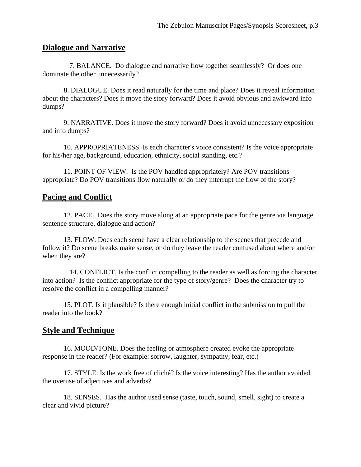#### **Dialogue and Narrative**

7. BALANCE. Do dialogue and narrative flow together seamlessly? Or does one dominate the other unnecessarily?

 8. DIALOGUE. Does it read naturally for the time and place? Does it reveal information about the characters? Does it move the story forward? Does it avoid obvious and awkward info dumps?

 9. NARRATIVE. Does it move the story forward? Does it avoid unnecessary exposition and info dumps?

 10. APPROPRIATENESS. Is each character's voice consistent? Is the voice appropriate for his/her age, background, education, ethnicity, social standing, etc.?

 11. POINT OF VIEW. Is the POV handled appropriately? Are POV transitions appropriate? Do POV transitions flow naturally or do they interrupt the flow of the story?

#### **Pacing and Conflict**

 12. PACE. Does the story move along at an appropriate pace for the genre via language, sentence structure, dialogue and action?

 13. FLOW. Does each scene have a clear relationship to the scenes that precede and follow it? Do scene breaks make sense, or do they leave the reader confused about where and/or when they are?

14. CONFLICT. Is the conflict compelling to the reader as well as forcing the character into action? Is the conflict appropriate for the type of story/genre? Does the character try to resolve the conflict in a compelling manner?

 15. PLOT. Is it plausible? Is there enough initial conflict in the submission to pull the reader into the book?

#### **Style and Technique**

 16. MOOD/TONE. Does the feeling or atmosphere created evoke the appropriate response in the reader? (For example: sorrow, laughter, sympathy, fear, etc.)

 17. STYLE. Is the work free of cliché? Is the voice interesting? Has the author avoided the overuse of adjectives and adverbs?

 18. SENSES. Has the author used sense (taste, touch, sound, smell, sight) to create a clear and vivid picture?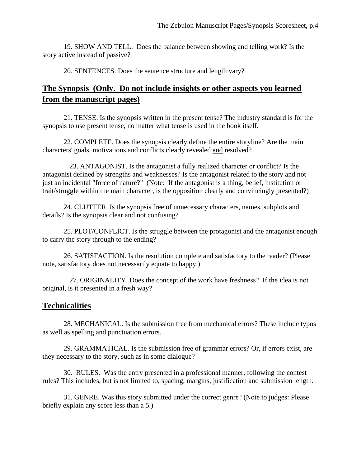19. SHOW AND TELL. Does the balance between showing and telling work? Is the story active instead of passive?

20. SENTENCES. Does the sentence structure and length vary?

## **The Synopsis (Only. Do not include insights or other aspects you learned from the manuscript pages)**

 21. TENSE. Is the synopsis written in the present tense? The industry standard is for the synopsis to use present tense, no matter what tense is used in the book itself.

 22. COMPLETE. Does the synopsis clearly define the entire storyline? Are the main characters' goals, motivations and conflicts clearly revealed and resolved?

 23. ANTAGONIST. Is the antagonist a fully realized character or conflict? Is the antagonist defined by strengths and weaknesses? Is the antagonist related to the story and not just an incidental "force of nature?" (Note: If the antagonist is a thing, belief, institution or trait/struggle within the main character, is the opposition clearly and convincingly presented?)

 24. CLUTTER. Is the synopsis free of unnecessary characters, names, subplots and details? Is the synopsis clear and not confusing?

 25. PLOT/CONFLICT. Is the struggle between the protagonist and the antagonist enough to carry the story through to the ending?

 26. SATISFACTION. Is the resolution complete and satisfactory to the reader? (Please note, satisfactory does not necessarily equate to happy.)

27. ORIGINALITY. Does the concept of the work have freshness? If the idea is not original, is it presented in a fresh way?

#### **Technicalities**

 28. MECHANICAL. Is the submission free from mechanical errors? These include typos as well as spelling and punctuation errors.

 29. GRAMMATICAL. Is the submission free of grammar errors? Or, if errors exist, are they necessary to the story, such as in some dialogue?

 30. RULES. Was the entry presented in a professional manner, following the contest rules? This includes, but is not limited to, spacing, margins, justification and submission length.

 31. GENRE. Was this story submitted under the correct genre? (Note to judges: Please briefly explain any score less than a 5.)